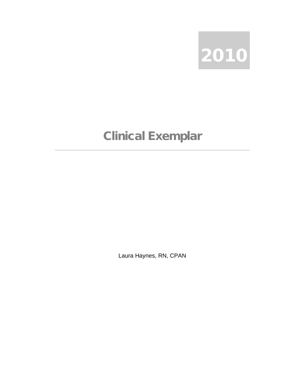

## Clinical Exemplar

Laura Haynes, RN, CPAN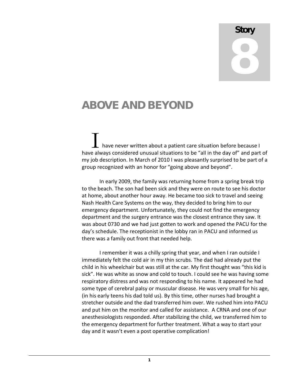## **Story** 8

## ABOVE AND BEYOND

have never written about a patient care situation before because I I have never written about a patient care situation before because I<br>have always considered unusual situations to be "all in the day of" and part of my job description. In March of 2010 I was pleasantly surprised to be part of a group recognized with an honor for "going above and beyond".

In early 2009, the family was returning home from a spring break trip to the beach. The son had been sick and they were on route to see his doctor at home, about another hour away. He became too sick to travel and seeing Nash Health Care Systems on the way, they decided to bring him to our emergency department. Unfortunately, they could not find the emergency department and the surgery entrance was the closest entrance they saw. It was about 0730 and we had just gotten to work and opened the PACU for the day's schedule. The receptionist in the lobby ran in PACU and informed us there was a family out front that needed help.

I remember it was a chilly spring that year, and when I ran outside I immediately felt the cold air in my thin scrubs. The dad had already put the child in his wheelchair but was still at the car. My first thought was "this kid is sick". He was white as snow and cold to touch. I could see he was having some respiratory distress and was not responding to his name. It appeared he had some type of cerebral palsy or muscular disease. He was very small for his age, (in his early teens his dad told us). By this time, other nurses had brought a stretcher outside and the dad transferred him over. We rushed him into PACU and put him on the monitor and called for assistance. A CRNA and one of our anesthesiologists responded. After stabilizing the child, we transferred him to the emergency department for further treatment. What a way to start your day and it wasn't even a post operative complication!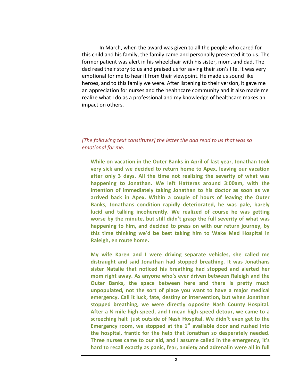In March, when the award was given to all the people who cared for this child and his family, the family came and personally presented it to us. The former patient was alert in his wheelchair with his sister, mom, and dad. The dad read their story to us and praised us for saving their son's life. It was very emotional for me to hear it from their viewpoint. He made us sound like heroes, and to this family we were. After listening to their version, it gave me an appreciation for nurses and the healthcare community and it also made me realize what I do as a professional and my knowledge of healthcare makes an impact on others.

## *[The following text constitutes] the letter the dad read to us that was so emotional for me.*

**While on vacation in the Outer Banks in April of last year, Jonathan took very sick and we decided to return home to Apex, leaving our vacation after only 3 days. All the time not realizing the severity of what was happening to Jonathan. We left Hatteras around 3:00am, with the intention of immediately taking Jonathan to his doctor as soon as we arrived back in Apex. Within a couple of hours of leaving the Outer Banks, Jonathans condition rapidly deteriorated, he was pale, barely lucid and talking incoherently. We realized of course he was getting worse by the minute, but still didn't grasp the full severity of what was happening to him, and decided to press on with our return journey, by this time thinking we'd be best taking him to Wake Med Hospital in Raleigh, en route home.** 

**My wife Karen and I were driving separate vehicles, she called me distraught and said Jonathan had stopped breathing. It was Jonathans sister Natalie that noticed his breathing had stopped and alerted her mom right away. As anyone who's ever driven between Raleigh and the Outer Banks, the space between here and there is pretty much unpopulated, not the sort of place you want to have a major medical emergency. Call it luck, fate, destiny or intervention, but when Jonathan stopped breathing, we were directly opposite Nash County Hospital. After a ¼ mile high-speed, and I mean high-speed detour, we came to a screeching halt just outside of Nash Hospital. We didn't even get to the**  Emergency room, we stopped at the 1<sup>st</sup> available door and rushed into **the hospital, frantic for the help that Jonathan so desperately needed. Three nurses came to our aid, and I assume called in the emergency, it's hard to recall exactly as panic, fear, anxiety and adrenalin were all in full**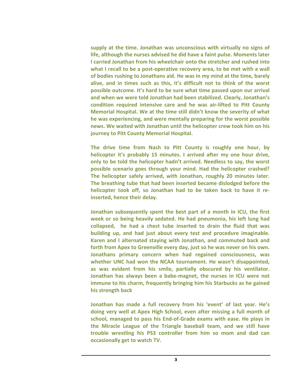**supply at the time. Jonathan was unconscious with virtually no signs of life, although the nurses advised he did have a faint pulse. Moments later I carried Jonathan from his wheelchair onto the stretcher and rushed into what I recall to be a post-operative recovery area, to be met with a wall of bodies rushing to Jonathans aid. He was in my mind at the time, barely alive, and in times such as this, it's difficult not to think of the worst possible outcome. It's hard to be sure what time passed upon our arrival and when we were told Jonathan had been stabilized. Clearly, Jonathan's condition required intensive care and he was air-lifted to Pitt County Memorial Hospital. We at the time still didn't know the severity of what he was experiencing, and were mentally preparing for the worst possible news. We waited with Jonathan until the helicopter crew took him on his journey to Pitt County Memorial Hospital.**

**The drive time from Nash to Pitt County is roughly one hour, by helicopter it's probably 15 minutes. I arrived after my one hour drive, only to be told the helicopter hadn't arrived. Needless to say, the worst possible scenario goes through your mind. Had the helicopter crashed? The helicopter safely arrived, with Jonathan, roughly 20 minutes later. The breathing tube that had been inserted became dislodged before the helicopter took off, so Jonathan had to be taken back to have it reinserted, hence their delay.**

**Jonathan subsequently spent the best part of a month in ICU, the first week or so being heavily sedated. He had pneumonia, his left lung had collapsed, he had a chest tube inserted to drain the fluid that was building up, and had just about every test and procedure imaginable. Karen and I alternated staying with Jonathan, and commuted back and forth from Apex to Greenville every day, just so he was never on his own. Jonathans primary concern when had regained consciousness, was whether UNC had won the NCAA tournament. He wasn't disappointed, as was evident from his smile, partially obscured by his ventilator. Jonathan has always been a babe-magnet, the nurses in ICU were not immune to his charm, frequently bringing him his Starbucks as he gained his strength back**

**Jonathan has made a full recovery from his 'event' of last year. He's doing very well at Apex High School, even after missing a full month of school, managed to pass his End-of-Grade exams with ease. He plays in the Miracle League of the Triangle baseball team, and we still have trouble wrestling his PS3 controller from him so mom and dad can occasionally get to watch TV.**